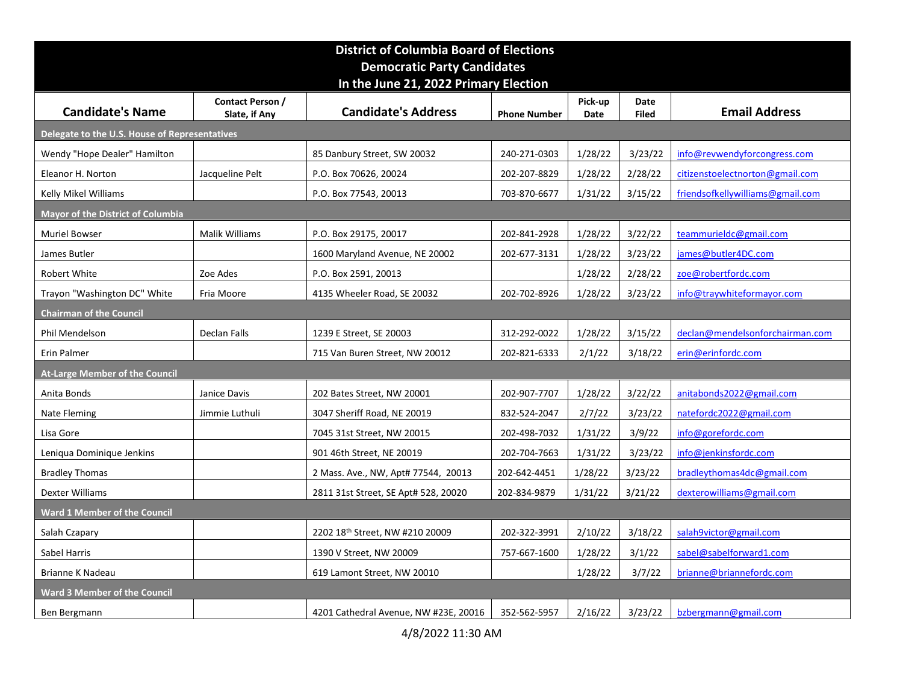|                                               |                                | <b>District of Columbia Board of Elections</b><br><b>Democratic Party Candidates</b> |                     |         |              |                                  |
|-----------------------------------------------|--------------------------------|--------------------------------------------------------------------------------------|---------------------|---------|--------------|----------------------------------|
|                                               | Contact Person /               | In the June 21, 2022 Primary Election                                                |                     | Pick-up | Date         |                                  |
| <b>Candidate's Name</b>                       | Slate, if Any                  | <b>Candidate's Address</b>                                                           | <b>Phone Number</b> | Date    | <b>Filed</b> | <b>Email Address</b>             |
| Delegate to the U.S. House of Representatives |                                |                                                                                      |                     |         |              |                                  |
| Wendy "Hope Dealer" Hamilton                  |                                | 85 Danbury Street, SW 20032                                                          | 240-271-0303        | 1/28/22 | 3/23/22      | info@revwendyforcongress.com     |
| Eleanor H. Norton                             | Jacqueline Pelt                | P.O. Box 70626, 20024                                                                | 202-207-8829        | 1/28/22 | 2/28/22      | citizenstoelectnorton@gmail.com  |
| Kelly Mikel Williams                          |                                | P.O. Box 77543, 20013                                                                | 703-870-6677        | 1/31/22 | 3/15/22      | friendsofkellywilliams@gmail.com |
| <b>Mayor of the District of Columbia</b>      |                                |                                                                                      |                     |         |              |                                  |
| <b>Muriel Bowser</b>                          | Malik Williams                 | P.O. Box 29175, 20017                                                                | 202-841-2928        | 1/28/22 | 3/22/22      | teammurieldc@gmail.com           |
| James Butler                                  |                                | 1600 Maryland Avenue, NE 20002                                                       | 202-677-3131        | 1/28/22 | 3/23/22      | james@butler4DC.com              |
| Robert White                                  | Zoe Ades                       | P.O. Box 2591, 20013                                                                 |                     | 1/28/22 | 2/28/22      | zoe@robertfordc.com              |
| Trayon "Washington DC" White                  | Fria Moore                     | 4135 Wheeler Road, SE 20032                                                          | 202-702-8926        | 1/28/22 | 3/23/22      | info@traywhiteformayor.com       |
| Chairman of the Council                       |                                |                                                                                      |                     |         |              |                                  |
| Phil Mendelson                                | Declan Falls                   | 1239 E Street, SE 20003                                                              | 312-292-0022        | 1/28/22 | 3/15/22      | declan@mendelsonforchairman.com  |
| Erin Palmer                                   |                                | 715 Van Buren Street, NW 20012                                                       | 202-821-6333        | 2/1/22  | 3/18/22      | erin@erinfordc.com               |
| <b>At-Large Member of the Council</b>         |                                |                                                                                      | 202-907-7707        | 1/28/22 | 3/22/22      | anitabonds2022@gmail.com         |
| Anita Bonds<br>Nate Fleming                   | Janice Davis<br>Jimmie Luthuli | 202 Bates Street, NW 20001<br>3047 Sheriff Road, NE 20019                            | 832-524-2047        | 2/7/22  | 3/23/22      | natefordc2022@gmail.com          |
| Lisa Gore                                     |                                | 7045 31st Street, NW 20015                                                           | 202-498-7032        | 1/31/22 | 3/9/22       | info@gorefordc.com               |
| Leniqua Dominique Jenkins                     |                                | 901 46th Street, NE 20019                                                            | 202-704-7663        | 1/31/22 | 3/23/22      | info@jenkinsfordc.com            |
| <b>Bradley Thomas</b>                         |                                | 2 Mass. Ave., NW, Apt# 77544, 20013                                                  | 202-642-4451        | 1/28/22 | 3/23/22      | bradleythomas4dc@gmail.com       |
| Dexter Williams                               |                                | 2811 31st Street, SE Apt# 528, 20020                                                 | 202-834-9879        | 1/31/22 | 3/21/22      | dexterowilliams@gmail.com        |
| <b>Ward 1 Member of the Council</b>           |                                |                                                                                      |                     |         |              |                                  |
| Salah Czapary                                 |                                | 2202 18th Street, NW #210 20009                                                      | 202-322-3991        | 2/10/22 | 3/18/22      | salah9victor@gmail.com           |
| Sabel Harris                                  |                                | 1390 V Street, NW 20009                                                              | 757-667-1600        | 1/28/22 | 3/1/22       | sabel@sabelforward1.com          |
| Brianne K Nadeau                              |                                | 619 Lamont Street, NW 20010                                                          |                     | 1/28/22 | 3/7/22       | brianne@briannefordc.com         |
| <b>Ward 3 Member of the Council</b>           |                                |                                                                                      |                     |         |              |                                  |
|                                               |                                | 4201 Cathedral Avenue, NW #23E, 20016                                                | 352-562-5957        | 2/16/22 | 3/23/22      | bzbergmann@gmail.com             |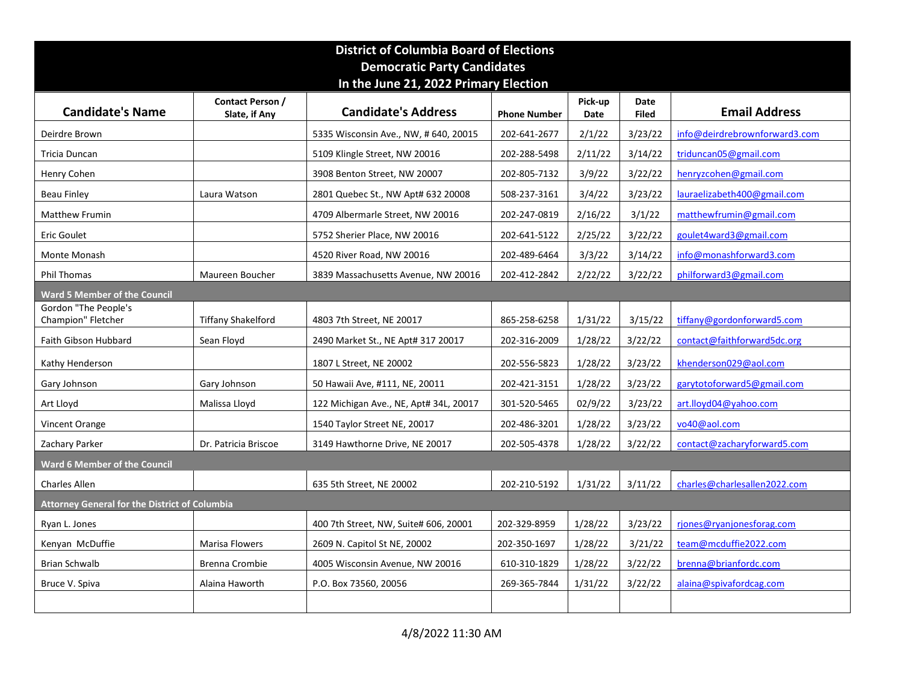|                                                      |                                   | <b>District of Columbia Board of Elections</b>                                          |                     |                 |                      |                               |
|------------------------------------------------------|-----------------------------------|-----------------------------------------------------------------------------------------|---------------------|-----------------|----------------------|-------------------------------|
|                                                      |                                   | <b>Democratic Party Candidates</b><br>In the June 21, 2022 Primary Election             |                     |                 |                      |                               |
| <b>Candidate's Name</b>                              | Contact Person /<br>Slate, if Any | <b>Candidate's Address</b>                                                              | <b>Phone Number</b> | Pick-up<br>Date | Date<br><b>Filed</b> | <b>Email Address</b>          |
| Deirdre Brown                                        |                                   | 5335 Wisconsin Ave., NW, # 640, 20015                                                   | 202-641-2677        | 2/1/22          | 3/23/22              | info@deirdrebrownforward3.com |
| Tricia Duncan                                        |                                   | 5109 Klingle Street, NW 20016                                                           | 202-288-5498        | 2/11/22         | 3/14/22              | triduncan05@gmail.com         |
| Henry Cohen                                          |                                   | 3908 Benton Street, NW 20007                                                            | 202-805-7132        | 3/9/22          | 3/22/22              | henryzcohen@gmail.com         |
| <b>Beau Finley</b>                                   | Laura Watson                      | 2801 Quebec St., NW Apt# 632 20008                                                      | 508-237-3161        | 3/4/22          | 3/23/22              | lauraelizabeth400@gmail.com   |
| <b>Matthew Frumin</b>                                |                                   | 4709 Albermarle Street, NW 20016                                                        | 202-247-0819        | 2/16/22         | 3/1/22               | matthewfrumin@gmail.com       |
| Eric Goulet                                          |                                   | 5752 Sherier Place, NW 20016                                                            | 202-641-5122        | 2/25/22         | 3/22/22              | goulet4ward3@gmail.com        |
| Monte Monash                                         |                                   | 4520 River Road, NW 20016                                                               | 202-489-6464        | 3/3/22          | 3/14/22              | info@monashforward3.com       |
| Phil Thomas                                          | Maureen Boucher                   | 3839 Massachusetts Avenue, NW 20016 202-412-2842 2/22/22 3/22/22 philforward3@gmail.com |                     |                 |                      |                               |
| <b>Ward 5 Member of the Council</b>                  |                                   |                                                                                         |                     |                 |                      |                               |
| Gordon "The People's<br>Champion" Fletcher           | <b>Tiffany Shakelford</b>         | 4803 7th Street, NE 20017                                                               | 865-258-6258        | 1/31/22         | 3/15/22              | tiffany@gordonforward5.com    |
| Faith Gibson Hubbard                                 | Sean Floyd                        | 2490 Market St., NE Apt# 317 20017                                                      | 202-316-2009        | 1/28/22         | 3/22/22              | contact@faithforward5dc.org   |
| Kathy Henderson                                      |                                   | 1807 L Street, NE 20002                                                                 | 202-556-5823        | 1/28/22         | 3/23/22              | khenderson029@aol.com         |
| Gary Johnson                                         | Gary Johnson                      | 50 Hawaii Ave, #111, NE, 20011                                                          | 202-421-3151        | 1/28/22         | 3/23/22              | garytotoforward5@gmail.com    |
| Art Lloyd                                            | Malissa Lloyd                     | 122 Michigan Ave., NE, Apt# 34L, 20017                                                  | 301-520-5465        | 02/9/22         | 3/23/22              | art.lloyd04@yahoo.com         |
| Vincent Orange                                       |                                   | 1540 Taylor Street NE, 20017                                                            | 202-486-3201        | 1/28/22         | 3/23/22              | vo40@aol.com                  |
| Zachary Parker                                       | Dr. Patricia Briscoe              | 3149 Hawthorne Drive, NE 20017                                                          | 202-505-4378        | 1/28/22         | 3/22/22              | contact@zacharyforward5.com   |
| Ward 6 Member of the Council                         |                                   |                                                                                         |                     |                 |                      |                               |
| Charles Allen                                        |                                   | 635 5th Street, NE 20002                                                                | 202-210-5192        | 1/31/22         | 3/11/22              | charles@charlesallen2022.com  |
| <b>Attorney General for the District of Columbia</b> |                                   |                                                                                         |                     |                 |                      |                               |
| Ryan L. Jones                                        |                                   | 400 7th Street, NW, Suite# 606, 20001                                                   | 202-329-8959        | 1/28/22         | 3/23/22              | rjones@ryanjonesforag.com     |
| Kenyan McDuffie                                      | Marisa Flowers                    | 2609 N. Capitol St NE, 20002                                                            | 202-350-1697        | 1/28/22         | 3/21/22              | team@mcduffie2022.com         |
|                                                      | <b>Brenna Crombie</b>             | 4005 Wisconsin Avenue, NW 20016                                                         | 610-310-1829        | 1/28/22         | 3/22/22              | brenna@brianfordc.com         |
| Brian Schwalb                                        |                                   |                                                                                         | 269-365-7844        | 1/31/22         | 3/22/22              | alaina@spivafordcag.com       |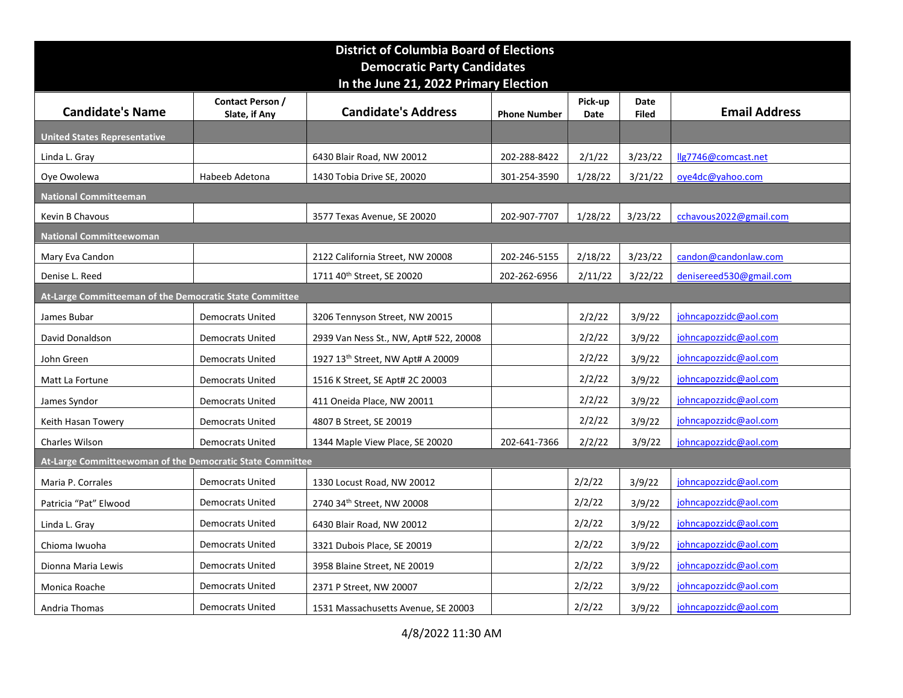|                                                           |                         | <b>District of Columbia Board of Elections</b> |                     |         |              |                                            |
|-----------------------------------------------------------|-------------------------|------------------------------------------------|---------------------|---------|--------------|--------------------------------------------|
|                                                           |                         | <b>Democratic Party Candidates</b>             |                     |         |              |                                            |
|                                                           | Contact Person /        | In the June 21, 2022 Primary Election          |                     | Pick-up | Date         |                                            |
| <b>Candidate's Name</b>                                   | Slate, if Any           | <b>Candidate's Address</b>                     | <b>Phone Number</b> | Date    | <b>Filed</b> | <b>Email Address</b>                       |
| <b>United States Representative</b>                       |                         |                                                |                     |         |              |                                            |
| Linda L. Gray                                             |                         | 6430 Blair Road, NW 20012                      | 202-288-8422        | 2/1/22  | 3/23/22      | llg7746@comcast.net                        |
| Oye Owolewa                                               | Habeeb Adetona          | 1430 Tobia Drive SE, 20020                     | 301-254-3590        | 1/28/22 | 3/21/22      | oye4dc@yahoo.com                           |
| <b>National Committeeman</b>                              |                         |                                                |                     |         |              |                                            |
| Kevin B Chavous                                           |                         | 3577 Texas Avenue, SE 20020                    | 202-907-7707        | 1/28/22 | 3/23/22      | cchavous2022@gmail.com                     |
| <b>National Committeewoman</b><br>Mary Eva Candon         |                         | 2122 California Street, NW 20008               | 202-246-5155        | 2/18/22 | 3/23/22      | candon@candonlaw.com                       |
| Denise L. Reed                                            |                         | 1711 40 <sup>th</sup> Street, SE 20020         | 202-262-6956        |         |              | $2/11/22$ 3/22/22 denisereed 530@gmail.com |
| At-Large Committeeman of the Democratic State Committee   |                         |                                                |                     |         |              |                                            |
| James Bubar                                               | <b>Democrats United</b> | 3206 Tennyson Street, NW 20015                 |                     | 2/2/22  | 3/9/22       | johncapozzidc@aol.com                      |
| David Donaldson                                           | <b>Democrats United</b> | 2939 Van Ness St., NW, Apt# 522, 20008         |                     | 2/2/22  | 3/9/22       | johncapozzidc@aol.com                      |
| John Green                                                | <b>Democrats United</b> | 1927 13 <sup>th</sup> Street, NW Apt# A 20009  |                     | 2/2/22  | 3/9/22       | johncapozzidc@aol.com                      |
| Matt La Fortune                                           | <b>Democrats United</b> | 1516 K Street, SE Apt# 2C 20003                |                     | 2/2/22  | 3/9/22       | johncapozzidc@aol.com                      |
| James Syndor                                              | <b>Democrats United</b> | 411 Oneida Place, NW 20011                     |                     | 2/2/22  | 3/9/22       | johncapozzidc@aol.com                      |
| Keith Hasan Towery                                        | <b>Democrats United</b> | 4807 B Street, SE 20019                        |                     | 2/2/22  | 3/9/22       | johncapozzidc@aol.com                      |
| Charles Wilson                                            | <b>Democrats United</b> | 1344 Maple View Place, SE 20020                | 202-641-7366        | 2/2/22  | 3/9/22       | johncapozzidc@aol.com                      |
| At-Large Committeewoman of the Democratic State Committee |                         |                                                |                     |         |              |                                            |
| Maria P. Corrales                                         | <b>Democrats United</b> | 1330 Locust Road, NW 20012                     |                     | 2/2/22  | 3/9/22       | johncapozzidc@aol.com                      |
| Patricia "Pat" Elwood                                     | <b>Democrats United</b> | 2740 34th Street, NW 20008                     |                     | 2/2/22  | 3/9/22       | johncapozzidc@aol.com                      |
| Linda L. Gray                                             | <b>Democrats United</b> | 6430 Blair Road, NW 20012                      |                     | 2/2/22  | 3/9/22       | johncapozzidc@aol.com                      |
| Chioma Iwuoha                                             | <b>Democrats United</b> | 3321 Dubois Place, SE 20019                    |                     | 2/2/22  | 3/9/22       | johncapozzidc@aol.com                      |
| Dionna Maria Lewis                                        | <b>Democrats United</b> | 3958 Blaine Street, NE 20019                   |                     | 2/2/22  | 3/9/22       | johncapozzidc@aol.com                      |
| Monica Roache                                             | <b>Democrats United</b> | 2371 P Street, NW 20007                        |                     | 2/2/22  | 3/9/22       | johncapozzidc@aol.com                      |
| Andria Thomas                                             | <b>Democrats United</b> | 1531 Massachusetts Avenue, SE 20003            |                     | 2/2/22  | 3/9/22       | johncapozzidc@aol.com                      |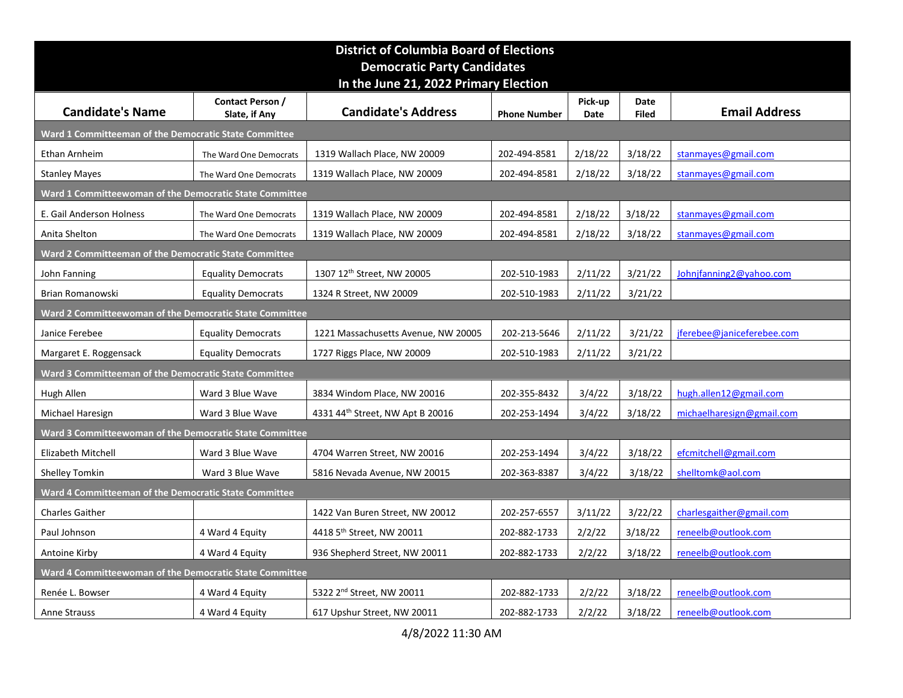|                                                                                 |                                   | <b>District of Columbia Board of Elections</b><br><b>Democratic Party Candidates</b> |                     |                 |                      |                            |
|---------------------------------------------------------------------------------|-----------------------------------|--------------------------------------------------------------------------------------|---------------------|-----------------|----------------------|----------------------------|
| <b>Candidate's Name</b>                                                         | Contact Person /<br>Slate, if Any | In the June 21, 2022 Primary Election<br><b>Candidate's Address</b>                  | <b>Phone Number</b> | Pick-up<br>Date | Date<br><b>Filed</b> | <b>Email Address</b>       |
| Ward 1 Committeeman of the Democratic State Committee                           |                                   |                                                                                      |                     |                 |                      |                            |
| Ethan Arnheim                                                                   | The Ward One Democrats            | 1319 Wallach Place, NW 20009                                                         | 202-494-8581        | 2/18/22         | 3/18/22              | stanmayes@gmail.com        |
| <b>Stanley Mayes</b>                                                            | The Ward One Democrats            | 1319 Wallach Place, NW 20009                                                         | 202-494-8581        | 2/18/22         | 3/18/22              | stanmayes@gmail.com        |
| Ward 1 Committeewoman of the Democratic State Committee                         |                                   |                                                                                      |                     |                 |                      |                            |
| E. Gail Anderson Holness                                                        | The Ward One Democrats            | 1319 Wallach Place, NW 20009                                                         | 202-494-8581        | 2/18/22         | 3/18/22              | stanmayes@gmail.com        |
| Anita Shelton                                                                   | The Ward One Democrats            | 1319 Wallach Place, NW 20009                                                         | 202-494-8581        | 2/18/22         | 3/18/22              | stanmayes@gmail.com        |
| Ward 2 Committeeman of the Democratic State Committee                           |                                   |                                                                                      |                     |                 |                      |                            |
| John Fanning                                                                    | <b>Equality Democrats</b>         | 1307 12 <sup>th</sup> Street, NW 20005                                               | 202-510-1983        | 2/11/22         | 3/21/22              | Johnjfanning2@yahoo.com    |
| Brian Romanowski                                                                | <b>Equality Democrats</b>         | 1324 R Street, NW 20009                                                              | 202-510-1983        | 2/11/22         | 3/21/22              |                            |
| Ward 2 Committeewoman of the Democratic State Committee                         |                                   |                                                                                      |                     |                 |                      |                            |
| Janice Ferebee                                                                  | <b>Equality Democrats</b>         | 1221 Massachusetts Avenue, NW 20005                                                  | 202-213-5646        | 2/11/22         | 3/21/22              | jferebee@janiceferebee.com |
| Margaret E. Roggensack<br>Ward 3 Committeeman of the Democratic State Committee | <b>Equality Democrats</b>         | 1727 Riggs Place, NW 20009                                                           | 202-510-1983        | 2/11/22         | 3/21/22              |                            |
| Hugh Allen                                                                      | Ward 3 Blue Wave                  | 3834 Windom Place, NW 20016                                                          | 202-355-8432        | 3/4/22          | 3/18/22              | hugh.allen12@gmail.com     |
| Michael Haresign                                                                | Ward 3 Blue Wave                  | 4331 44th Street, NW Apt B 20016                                                     | 202-253-1494        | 3/4/22          | 3/18/22              | michaelharesign@gmail.com  |
| Ward 3 Committeewoman of the Democratic State Committee                         |                                   |                                                                                      |                     |                 |                      |                            |
| Elizabeth Mitchell                                                              | Ward 3 Blue Wave                  | 4704 Warren Street, NW 20016                                                         | 202-253-1494        | 3/4/22          | 3/18/22              | efcmitchell@gmail.com      |
| Shelley Tomkin                                                                  | Ward 3 Blue Wave                  | 5816 Nevada Avenue, NW 20015                                                         | 202-363-8387        | 3/4/22          | 3/18/22              | shelltomk@aol.com          |
| Ward 4 Committeeman of the Democratic State Committee                           |                                   |                                                                                      |                     |                 |                      |                            |
| <b>Charles Gaither</b>                                                          |                                   | 1422 Van Buren Street, NW 20012                                                      | 202-257-6557        | 3/11/22         | 3/22/22              | charlesgaither@gmail.com   |
| Paul Johnson                                                                    | 4 Ward 4 Equity                   | 4418 5 <sup>th</sup> Street, NW 20011                                                | 202-882-1733        | 2/2/22          | 3/18/22              | reneelb@outlook.com        |
| Antoine Kirby                                                                   | 4 Ward 4 Equity                   | 936 Shepherd Street, NW 20011                                                        | 202-882-1733        | 2/2/22          | 3/18/22              | reneelb@outlook.com        |
| Ward 4 Committeewoman of the Democratic State Committee                         |                                   |                                                                                      |                     |                 |                      |                            |
| Renée L. Bowser                                                                 | 4 Ward 4 Equity                   | 5322 2 <sup>nd</sup> Street, NW 20011                                                | 202-882-1733        | 2/2/22          | 3/18/22              | reneelb@outlook.com        |
| Anne Strauss                                                                    | 4 Ward 4 Equity                   | 617 Upshur Street, NW 20011<br>4/8/2022 11:30 AM                                     | 202-882-1733        | 2/2/22          | 3/18/22              | reneelb@outlook.com        |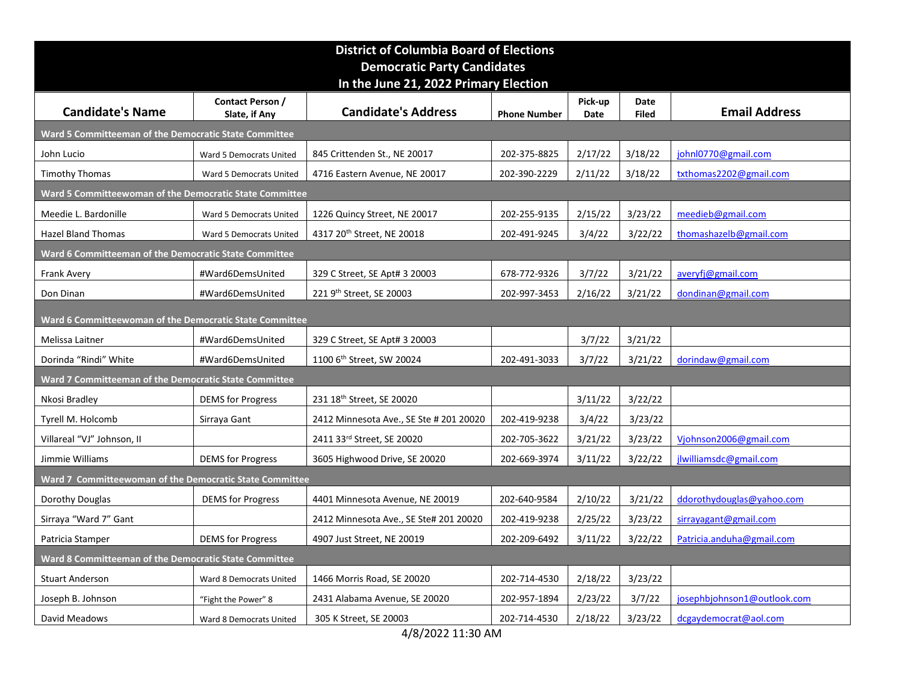|                                                         |                                          | <b>District of Columbia Board of Elections</b><br><b>Democratic Party Candidates</b> |                     |                   |                      |                             |
|---------------------------------------------------------|------------------------------------------|--------------------------------------------------------------------------------------|---------------------|-------------------|----------------------|-----------------------------|
|                                                         |                                          | In the June 21, 2022 Primary Election                                                |                     |                   |                      |                             |
| <b>Candidate's Name</b>                                 | Contact Person /<br>Slate, if Any        | <b>Candidate's Address</b>                                                           | <b>Phone Number</b> | Pick-up<br>Date   | Date<br><b>Filed</b> | <b>Email Address</b>        |
| Ward 5 Committeeman of the Democratic State Committee   |                                          |                                                                                      |                     |                   |                      |                             |
| John Lucio                                              | Ward 5 Democrats United                  | 845 Crittenden St., NE 20017                                                         | 202-375-8825        | 2/17/22           | 3/18/22              | johnl0770@gmail.com         |
| <b>Timothy Thomas</b>                                   | Ward 5 Democrats United                  | 4716 Eastern Avenue, NE 20017                                                        | 202-390-2229        | 2/11/22           | 3/18/22              | txthomas2202@gmail.com      |
| Ward 5 Committeewoman of the Democratic State Committee |                                          |                                                                                      |                     |                   |                      |                             |
| Meedie L. Bardonille                                    | Ward 5 Democrats United                  | 1226 Quincy Street, NE 20017                                                         | 202-255-9135        | 2/15/22           | 3/23/22              | meedieb@gmail.com           |
| Hazel Bland Thomas                                      | Ward 5 Democrats United                  | 4317 20 <sup>th</sup> Street, NE 20018                                               | 202-491-9245        | 3/4/22            | 3/22/22              | thomashazelb@gmail.com      |
| Ward 6 Committeeman of the Democratic State Committee   |                                          |                                                                                      |                     |                   |                      |                             |
| Frank Avery                                             | #Ward6DemsUnited                         | 329 C Street, SE Apt# 3 20003                                                        | 678-772-9326        | 3/7/22            | 3/21/22              | averyfj@gmail.com           |
| Don Dinan                                               | #Ward6DemsUnited                         | 221 9th Street, SE 20003                                                             | 202-997-3453        | 2/16/22           | 3/21/22              | dondinan@gmail.com          |
| Ward 6 Committeewoman of the Democratic State Committee |                                          |                                                                                      |                     |                   |                      |                             |
| Melissa Laitner                                         | #Ward6DemsUnited                         | 329 C Street, SE Apt# 3 20003                                                        |                     | 3/7/22            | 3/21/22              |                             |
| Dorinda "Rindi" White                                   | #Ward6DemsUnited                         | 1100 6 <sup>th</sup> Street, SW 20024                                                | 202-491-3033        | 3/7/22            | 3/21/22              | dorindaw@gmail.com          |
| Ward 7 Committeeman of the Democratic State Committee   |                                          |                                                                                      |                     |                   |                      |                             |
| Nkosi Bradley<br>Tyrell M. Holcomb                      | <b>DEMS</b> for Progress<br>Sirraya Gant | 231 18 <sup>th</sup> Street, SE 20020<br>2412 Minnesota Ave., SE Ste # 201 20020     | 202-419-9238        | 3/11/22<br>3/4/22 | 3/22/22<br>3/23/22   |                             |
| Villareal "VJ" Johnson, II                              |                                          | 2411 33rd Street, SE 20020                                                           | 202-705-3622        | 3/21/22           | 3/23/22              | Vjohnson2006@gmail.com      |
| Jimmie Williams                                         | <b>DEMS</b> for Progress                 | 3605 Highwood Drive, SE 20020                                                        | 202-669-3974        | 3/11/22           | 3/22/22              | jlwilliamsdc@gmail.com      |
| Ward 7 Committeewoman of the Democratic State Committee |                                          |                                                                                      |                     |                   |                      |                             |
| Dorothy Douglas                                         | <b>DEMS</b> for Progress                 | 4401 Minnesota Avenue, NE 20019                                                      | 202-640-9584        | 2/10/22           | 3/21/22              | ddorothydouglas@yahoo.com   |
| Sirraya "Ward 7" Gant                                   |                                          | 2412 Minnesota Ave., SE Ste# 201 20020                                               | 202-419-9238        | 2/25/22           | 3/23/22              | sirrayagant@gmail.com       |
| Patricia Stamper                                        | <b>DEMS</b> for Progress                 | 4907 Just Street, NE 20019                                                           | 202-209-6492        | 3/11/22           | 3/22/22              | Patricia.anduha@gmail.com   |
| Ward 8 Committeeman of the Democratic State Committee   |                                          |                                                                                      |                     |                   |                      |                             |
| <b>Stuart Anderson</b>                                  | Ward 8 Democrats United                  | 1466 Morris Road, SE 20020                                                           | 202-714-4530        | 2/18/22           | 3/23/22              |                             |
| Joseph B. Johnson                                       | "Fight the Power" 8                      | 2431 Alabama Avenue, SE 20020                                                        | 202-957-1894        | 2/23/22           | 3/7/22               | josephbjohnson1@outlook.com |
| David Meadows                                           | Ward 8 Democrats United                  | 305 K Street, SE 20003<br>4/8/2022 11:30 AM                                          | 202-714-4530        | 2/18/22           | 3/23/22              | dcgaydemocrat@aol.com       |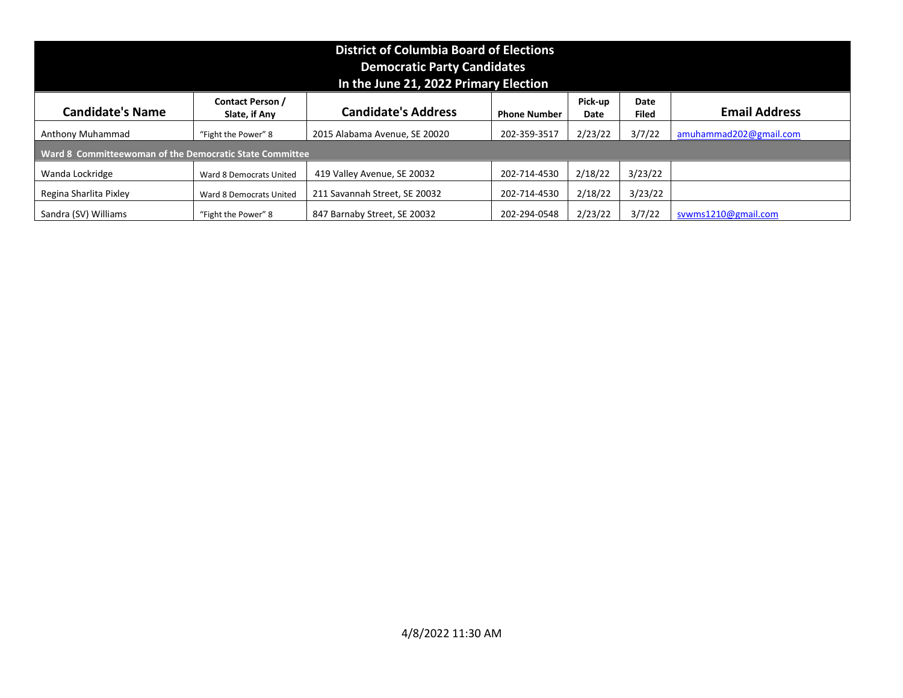| <b>District of Columbia Board of Elections</b><br><b>Democratic Party Candidates</b><br>In the June 21, 2022 Primary Election<br><b>Contact Person /</b><br>Pick-up<br>Date<br><b>Candidate's Name</b><br><b>Email Address</b><br><b>Candidate's Address</b><br>Slate, if Any<br><b>Phone Number</b><br><b>Filed</b><br>Date<br>2/23/22<br>3/7/22<br>"Fight the Power" 8<br>2015 Alabama Avenue, SE 20020<br>202-359-3517<br>amuhammad202@gmail.com<br>Anthony Muhammad<br>Ward 8 Committeewoman of the Democratic State Committee<br>2/18/22<br>3/23/22<br>419 Valley Avenue, SE 20032<br>202-714-4530<br>Wanda Lockridge<br>Ward 8 Democrats United<br>211 Savannah Street, SE 20032<br>202-714-4530<br>2/18/22<br>3/23/22<br>Regina Sharlita Pixley<br>Ward 8 Democrats United<br>2/23/22<br>3/7/22<br>Sandra (SV) Williams<br>847 Barnaby Street, SE 20032<br>202-294-0548<br>svwms1210@gmail.com<br>"Fight the Power" 8 |  |
|------------------------------------------------------------------------------------------------------------------------------------------------------------------------------------------------------------------------------------------------------------------------------------------------------------------------------------------------------------------------------------------------------------------------------------------------------------------------------------------------------------------------------------------------------------------------------------------------------------------------------------------------------------------------------------------------------------------------------------------------------------------------------------------------------------------------------------------------------------------------------------------------------------------------------|--|
|                                                                                                                                                                                                                                                                                                                                                                                                                                                                                                                                                                                                                                                                                                                                                                                                                                                                                                                              |  |
|                                                                                                                                                                                                                                                                                                                                                                                                                                                                                                                                                                                                                                                                                                                                                                                                                                                                                                                              |  |
|                                                                                                                                                                                                                                                                                                                                                                                                                                                                                                                                                                                                                                                                                                                                                                                                                                                                                                                              |  |
|                                                                                                                                                                                                                                                                                                                                                                                                                                                                                                                                                                                                                                                                                                                                                                                                                                                                                                                              |  |
|                                                                                                                                                                                                                                                                                                                                                                                                                                                                                                                                                                                                                                                                                                                                                                                                                                                                                                                              |  |
|                                                                                                                                                                                                                                                                                                                                                                                                                                                                                                                                                                                                                                                                                                                                                                                                                                                                                                                              |  |
|                                                                                                                                                                                                                                                                                                                                                                                                                                                                                                                                                                                                                                                                                                                                                                                                                                                                                                                              |  |
|                                                                                                                                                                                                                                                                                                                                                                                                                                                                                                                                                                                                                                                                                                                                                                                                                                                                                                                              |  |
|                                                                                                                                                                                                                                                                                                                                                                                                                                                                                                                                                                                                                                                                                                                                                                                                                                                                                                                              |  |
|                                                                                                                                                                                                                                                                                                                                                                                                                                                                                                                                                                                                                                                                                                                                                                                                                                                                                                                              |  |
|                                                                                                                                                                                                                                                                                                                                                                                                                                                                                                                                                                                                                                                                                                                                                                                                                                                                                                                              |  |
|                                                                                                                                                                                                                                                                                                                                                                                                                                                                                                                                                                                                                                                                                                                                                                                                                                                                                                                              |  |
|                                                                                                                                                                                                                                                                                                                                                                                                                                                                                                                                                                                                                                                                                                                                                                                                                                                                                                                              |  |
|                                                                                                                                                                                                                                                                                                                                                                                                                                                                                                                                                                                                                                                                                                                                                                                                                                                                                                                              |  |
|                                                                                                                                                                                                                                                                                                                                                                                                                                                                                                                                                                                                                                                                                                                                                                                                                                                                                                                              |  |
|                                                                                                                                                                                                                                                                                                                                                                                                                                                                                                                                                                                                                                                                                                                                                                                                                                                                                                                              |  |
|                                                                                                                                                                                                                                                                                                                                                                                                                                                                                                                                                                                                                                                                                                                                                                                                                                                                                                                              |  |
|                                                                                                                                                                                                                                                                                                                                                                                                                                                                                                                                                                                                                                                                                                                                                                                                                                                                                                                              |  |
|                                                                                                                                                                                                                                                                                                                                                                                                                                                                                                                                                                                                                                                                                                                                                                                                                                                                                                                              |  |
|                                                                                                                                                                                                                                                                                                                                                                                                                                                                                                                                                                                                                                                                                                                                                                                                                                                                                                                              |  |
|                                                                                                                                                                                                                                                                                                                                                                                                                                                                                                                                                                                                                                                                                                                                                                                                                                                                                                                              |  |
|                                                                                                                                                                                                                                                                                                                                                                                                                                                                                                                                                                                                                                                                                                                                                                                                                                                                                                                              |  |
|                                                                                                                                                                                                                                                                                                                                                                                                                                                                                                                                                                                                                                                                                                                                                                                                                                                                                                                              |  |
|                                                                                                                                                                                                                                                                                                                                                                                                                                                                                                                                                                                                                                                                                                                                                                                                                                                                                                                              |  |
|                                                                                                                                                                                                                                                                                                                                                                                                                                                                                                                                                                                                                                                                                                                                                                                                                                                                                                                              |  |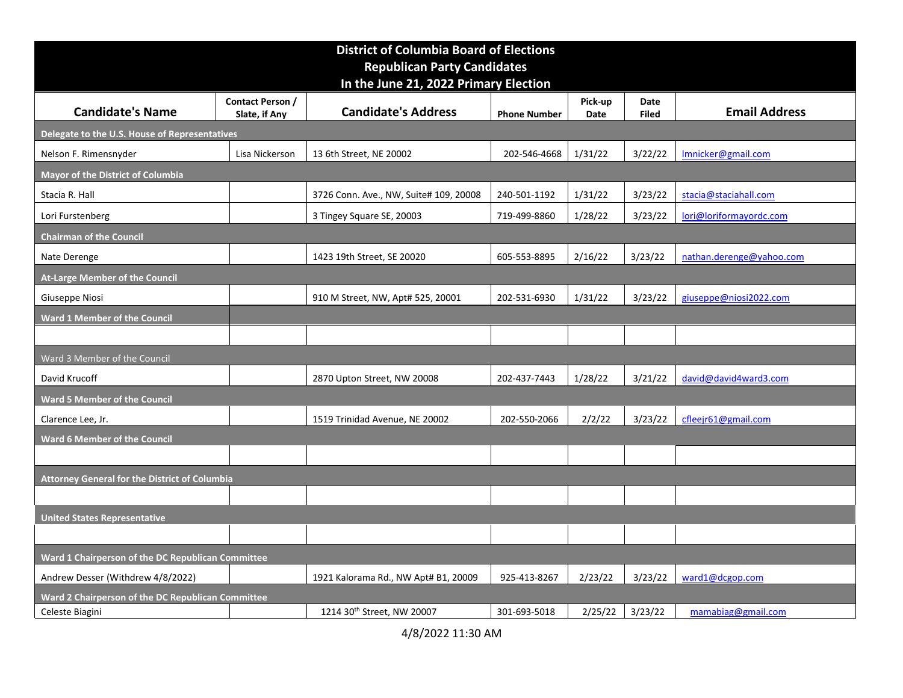|                                                                      |                                   | <b>District of Columbia Board of Elections</b> |                     |                 |                      |                             |
|----------------------------------------------------------------------|-----------------------------------|------------------------------------------------|---------------------|-----------------|----------------------|-----------------------------|
|                                                                      |                                   | <b>Republican Party Candidates</b>             |                     |                 |                      |                             |
|                                                                      |                                   | In the June 21, 2022 Primary Election          |                     |                 |                      |                             |
| <b>Candidate's Name</b>                                              | Contact Person /<br>Slate, if Any | <b>Candidate's Address</b>                     | <b>Phone Number</b> | Pick-up<br>Date | Date<br><b>Filed</b> | <b>Email Address</b>        |
| Delegate to the U.S. House of Representatives                        |                                   |                                                |                     |                 |                      |                             |
| Nelson F. Rimensnyder                                                | Lisa Nickerson                    | 13 6th Street, NE 20002                        | 202-546-4668        | 1/31/22         | 3/22/22              | Imnicker@gmail.com          |
| <b>Mayor of the District of Columbia</b>                             |                                   |                                                |                     |                 |                      |                             |
| Stacia R. Hall                                                       |                                   | 3726 Conn. Ave., NW, Suite# 109, 20008         | 240-501-1192        | 1/31/22         | 3/23/22              | stacia@staciahall.com       |
| Lori Furstenberg                                                     |                                   | 3 Tingey Square SE, 20003                      | 719-499-8860        | 1/28/22         | 3/23/22              | lori@loriformayordc.com     |
| <b>Chairman of the Council</b>                                       |                                   |                                                |                     |                 |                      |                             |
| Nate Derenge                                                         |                                   | 1423 19th Street, SE 20020                     | 605-553-8895        | 2/16/22         | 3/23/22              | nathan.derenge@yahoo.com    |
| At-Large Member of the Council                                       |                                   |                                                |                     |                 |                      |                             |
| Giuseppe Niosi                                                       |                                   | 910 M Street, NW, Apt# 525, 20001              | 202-531-6930        | 1/31/22         | 3/23/22              | giuseppe@niosi2022.com      |
| <b>Ward 1 Member of the Council</b>                                  |                                   |                                                |                     |                 |                      |                             |
|                                                                      |                                   |                                                |                     |                 |                      |                             |
| Ward 3 Member of the Council                                         |                                   |                                                |                     |                 |                      |                             |
| David Krucoff                                                        |                                   | 2870 Upton Street, NW 20008                    | 202-437-7443        | 1/28/22         | 3/21/22              | david@david4ward3.com       |
| Ward 5 Member of the Council<br>Clarence Lee, Jr.                    |                                   | 1519 Trinidad Avenue, NE 20002                 | 202-550-2066        | 2/2/22          | 3/23/22              | cfleejr61@gmail.com         |
| Ward 6 Member of the Council                                         |                                   |                                                |                     |                 |                      |                             |
|                                                                      |                                   |                                                |                     |                 |                      |                             |
| Attorney General for the District of Columbia                        |                                   |                                                |                     |                 |                      |                             |
|                                                                      |                                   |                                                |                     |                 |                      |                             |
| <b>United States Representative</b>                                  |                                   |                                                |                     |                 |                      |                             |
|                                                                      |                                   |                                                |                     |                 |                      |                             |
| Ward 1 Chairperson of the DC Republican Committee                    |                                   |                                                |                     |                 |                      |                             |
| Andrew Desser (Withdrew 4/8/2022)                                    |                                   | 1921 Kalorama Rd., NW Apt# B1, 20009           | 925-413-8267        | 2/23/22         |                      | $3/23/22$   ward1@dcgop.com |
| Ward 2 Chairperson of the DC Republican Committee<br>Celeste Biagini |                                   | 1214 30th Street, NW 20007                     | 301-693-5018        |                 | $2/25/22$ 3/23/22    | mamabiag@gmail.com          |
|                                                                      |                                   | 4/8/2022 11:30 AM                              |                     |                 |                      |                             |
|                                                                      |                                   |                                                |                     |                 |                      |                             |
|                                                                      |                                   |                                                |                     |                 |                      |                             |
|                                                                      |                                   |                                                |                     |                 |                      |                             |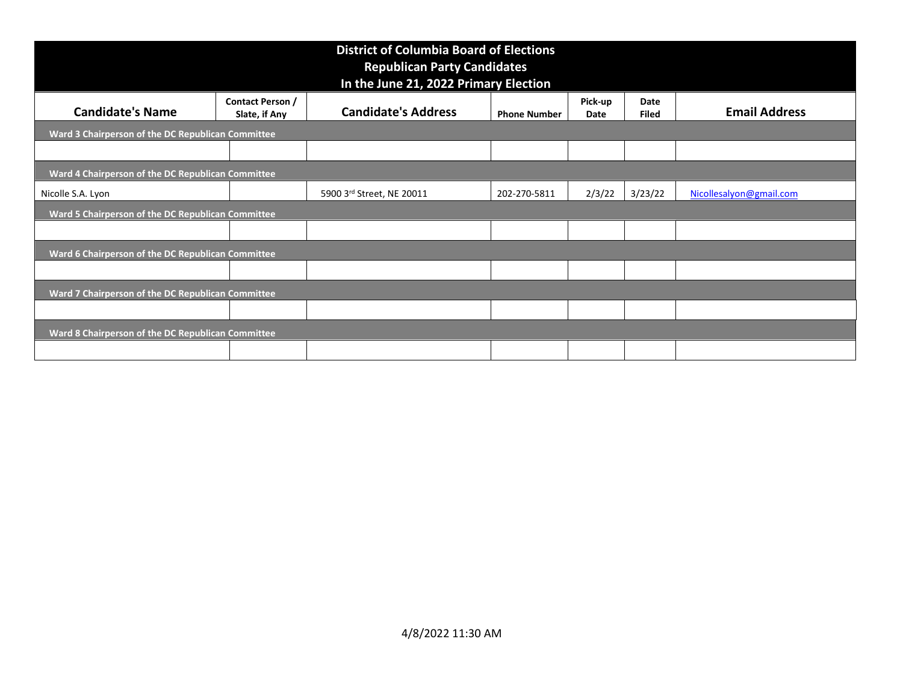| <b>Republican Party Candidates</b><br>In the June 21, 2022 Primary Election<br><b>Contact Person /</b><br>Pick-up<br>Date<br><b>Candidate's Address</b><br><b>Candidate's Name</b><br>Slate, if Any<br><b>Phone Number</b><br><b>Filed</b><br>Date<br>Ward 3 Chairperson of the DC Republican Committee<br>Ward 4 Chairperson of the DC Republican Committee<br>$2/3/22$ 3/23/22<br>5900 3rd Street, NE 20011<br>202-270-5811<br>Nicolle S.A. Lyon<br>Ward 5 Chairperson of the DC Republican Committee<br>Ward 6 Chairperson of the DC Republican Committee<br>Ward 7 Chairperson of the DC Republican Committee | Nicollesalyon@gmail.com<br>Ward 8 Chairperson of the DC Republican Committee<br>4/8/2022 11:30 AM |  | <b>District of Columbia Board of Elections</b> |  |                      |
|-------------------------------------------------------------------------------------------------------------------------------------------------------------------------------------------------------------------------------------------------------------------------------------------------------------------------------------------------------------------------------------------------------------------------------------------------------------------------------------------------------------------------------------------------------------------------------------------------------------------|---------------------------------------------------------------------------------------------------|--|------------------------------------------------|--|----------------------|
|                                                                                                                                                                                                                                                                                                                                                                                                                                                                                                                                                                                                                   |                                                                                                   |  |                                                |  | <b>Email Address</b> |
|                                                                                                                                                                                                                                                                                                                                                                                                                                                                                                                                                                                                                   |                                                                                                   |  |                                                |  |                      |
|                                                                                                                                                                                                                                                                                                                                                                                                                                                                                                                                                                                                                   |                                                                                                   |  |                                                |  |                      |
|                                                                                                                                                                                                                                                                                                                                                                                                                                                                                                                                                                                                                   |                                                                                                   |  |                                                |  |                      |
|                                                                                                                                                                                                                                                                                                                                                                                                                                                                                                                                                                                                                   |                                                                                                   |  |                                                |  |                      |
|                                                                                                                                                                                                                                                                                                                                                                                                                                                                                                                                                                                                                   |                                                                                                   |  |                                                |  |                      |
|                                                                                                                                                                                                                                                                                                                                                                                                                                                                                                                                                                                                                   |                                                                                                   |  |                                                |  |                      |
|                                                                                                                                                                                                                                                                                                                                                                                                                                                                                                                                                                                                                   |                                                                                                   |  |                                                |  |                      |
|                                                                                                                                                                                                                                                                                                                                                                                                                                                                                                                                                                                                                   |                                                                                                   |  |                                                |  |                      |
|                                                                                                                                                                                                                                                                                                                                                                                                                                                                                                                                                                                                                   |                                                                                                   |  |                                                |  |                      |
|                                                                                                                                                                                                                                                                                                                                                                                                                                                                                                                                                                                                                   |                                                                                                   |  |                                                |  |                      |
|                                                                                                                                                                                                                                                                                                                                                                                                                                                                                                                                                                                                                   |                                                                                                   |  |                                                |  |                      |
|                                                                                                                                                                                                                                                                                                                                                                                                                                                                                                                                                                                                                   |                                                                                                   |  |                                                |  |                      |
|                                                                                                                                                                                                                                                                                                                                                                                                                                                                                                                                                                                                                   |                                                                                                   |  |                                                |  |                      |
|                                                                                                                                                                                                                                                                                                                                                                                                                                                                                                                                                                                                                   |                                                                                                   |  |                                                |  |                      |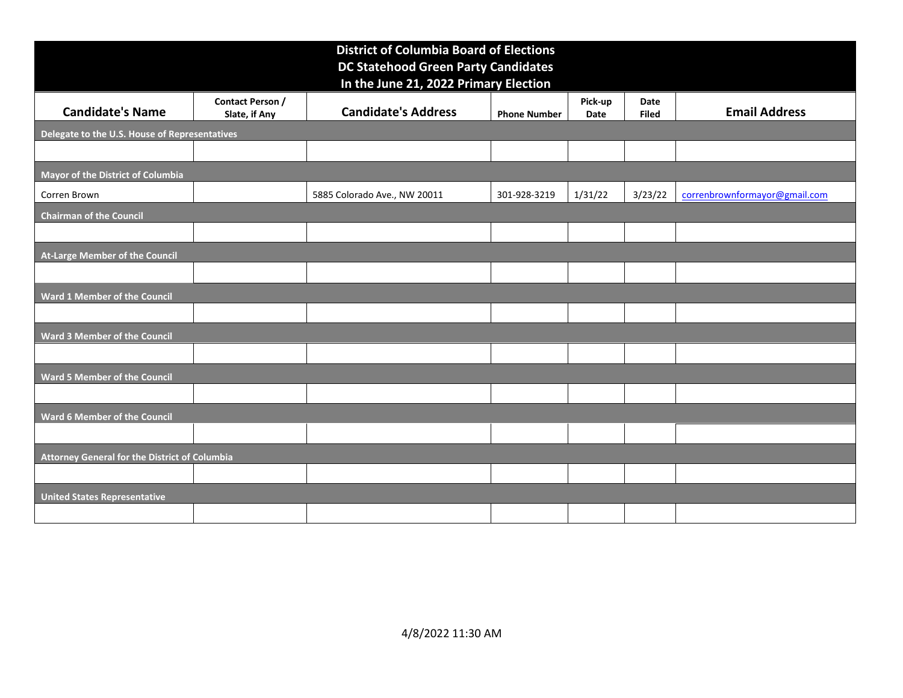| <b>District of Columbia Board of Elections</b><br><b>DC Statehood Green Party Candidates</b><br>In the June 21, 2022 Primary Election<br>Contact Person /<br>Pick-up<br>Date<br><b>Candidate's Name</b><br><b>Candidate's Address</b><br><b>Email Address</b><br>Slate, if Any<br><b>Phone Number</b><br><b>Filed</b><br>Date<br>Delegate to the U.S. House of Representatives<br>Mayor of the District of Columbia<br>1/31/22<br>3/23/22<br>correnbrownformayor@gmail.com<br>5885 Colorado Ave., NW 20011<br>301-928-3219<br>Corren Brown<br><b>Chairman of the Council</b><br>At-Large Member of the Council<br>Ward 1 Member of the Council<br><b>Ward 3 Member of the Council</b> |
|---------------------------------------------------------------------------------------------------------------------------------------------------------------------------------------------------------------------------------------------------------------------------------------------------------------------------------------------------------------------------------------------------------------------------------------------------------------------------------------------------------------------------------------------------------------------------------------------------------------------------------------------------------------------------------------|
|                                                                                                                                                                                                                                                                                                                                                                                                                                                                                                                                                                                                                                                                                       |
|                                                                                                                                                                                                                                                                                                                                                                                                                                                                                                                                                                                                                                                                                       |
|                                                                                                                                                                                                                                                                                                                                                                                                                                                                                                                                                                                                                                                                                       |
|                                                                                                                                                                                                                                                                                                                                                                                                                                                                                                                                                                                                                                                                                       |
|                                                                                                                                                                                                                                                                                                                                                                                                                                                                                                                                                                                                                                                                                       |
|                                                                                                                                                                                                                                                                                                                                                                                                                                                                                                                                                                                                                                                                                       |
|                                                                                                                                                                                                                                                                                                                                                                                                                                                                                                                                                                                                                                                                                       |
|                                                                                                                                                                                                                                                                                                                                                                                                                                                                                                                                                                                                                                                                                       |
| Ward 5 Member of the Council                                                                                                                                                                                                                                                                                                                                                                                                                                                                                                                                                                                                                                                          |
| <b>Ward 6 Member of the Council</b>                                                                                                                                                                                                                                                                                                                                                                                                                                                                                                                                                                                                                                                   |
| Attorney General for the District of Columbia                                                                                                                                                                                                                                                                                                                                                                                                                                                                                                                                                                                                                                         |
| <b>United States Representative</b>                                                                                                                                                                                                                                                                                                                                                                                                                                                                                                                                                                                                                                                   |
|                                                                                                                                                                                                                                                                                                                                                                                                                                                                                                                                                                                                                                                                                       |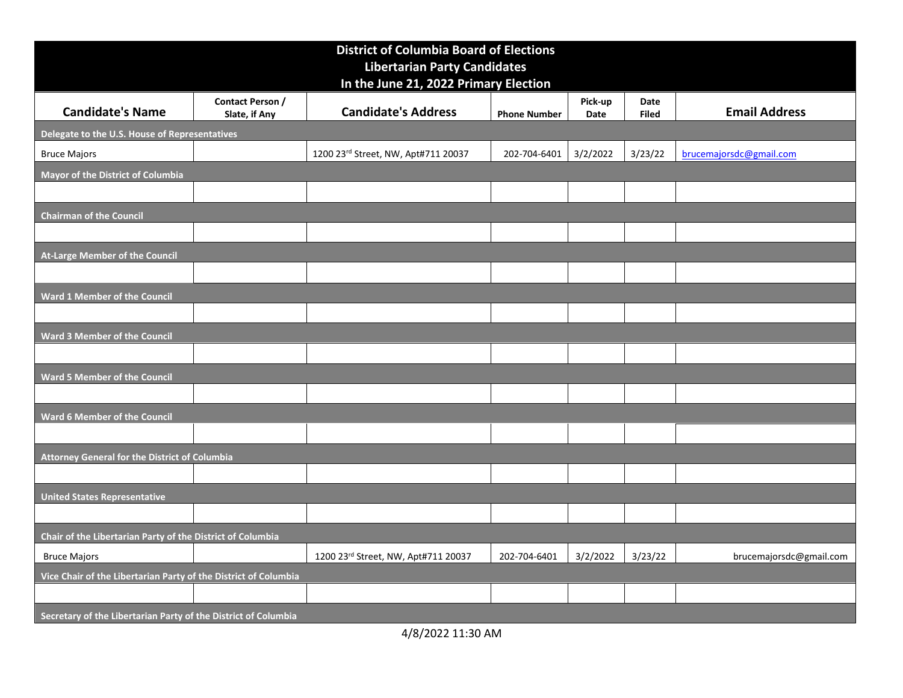|                                                                                                                  |                                          | <b>District of Columbia Board of Elections</b><br><b>Libertarian Party Candidates</b> |                       |                 |                      |                         |
|------------------------------------------------------------------------------------------------------------------|------------------------------------------|---------------------------------------------------------------------------------------|-----------------------|-----------------|----------------------|-------------------------|
| <b>Candidate's Name</b>                                                                                          | <b>Contact Person /</b><br>Slate, if Any | In the June 21, 2022 Primary Election<br><b>Candidate's Address</b>                   | <b>Phone Number</b>   | Pick-up<br>Date | Date<br><b>Filed</b> | <b>Email Address</b>    |
| Delegate to the U.S. House of Representatives<br><b>Bruce Majors</b><br><b>Mayor of the District of Columbia</b> |                                          | 1200 23rd Street, NW, Apt#711 20037                                                   | 202-704-6401 3/2/2022 |                 | 3/23/22              | brucemajorsdc@gmail.com |
| <b>Chairman of the Council</b>                                                                                   |                                          |                                                                                       |                       |                 |                      |                         |
| At-Large Member of the Council                                                                                   |                                          |                                                                                       |                       |                 |                      |                         |
|                                                                                                                  |                                          |                                                                                       |                       |                 |                      |                         |
| <b>Ward 1 Member of the Council</b>                                                                              |                                          |                                                                                       |                       |                 |                      |                         |
| Ward 3 Member of the Council                                                                                     |                                          |                                                                                       |                       |                 |                      |                         |
| Ward 5 Member of the Council                                                                                     |                                          |                                                                                       |                       |                 |                      |                         |
| Ward 6 Member of the Council                                                                                     |                                          |                                                                                       |                       |                 |                      |                         |
| Attorney General for the District of Columbia                                                                    |                                          |                                                                                       |                       |                 |                      |                         |
| <b>United States Representative</b>                                                                              |                                          |                                                                                       |                       |                 |                      |                         |
| Chair of the Libertarian Party of the District of Columbia<br><b>Bruce Majors</b>                                |                                          | 1200 23rd Street, NW, Apt#711 20037                                                   | 202-704-6401          | 3/2/2022        | 3/23/22              | brucemajorsdc@gmail.com |
| Vice Chair of the Libertarian Party of the District of Columbia                                                  |                                          |                                                                                       |                       |                 |                      |                         |
| Secretary of the Libertarian Party of the District of Columbia                                                   |                                          | 4/8/2022 11:30 AM                                                                     |                       |                 |                      |                         |
|                                                                                                                  |                                          |                                                                                       |                       |                 |                      |                         |
|                                                                                                                  |                                          |                                                                                       |                       |                 |                      |                         |